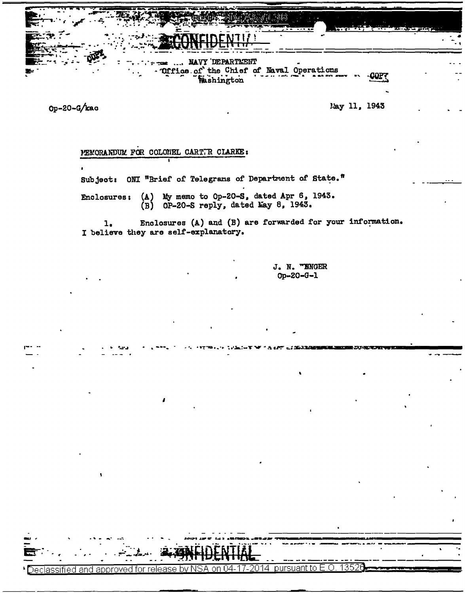

Op-20-G/kac

<u>Declassified and approved for</u>

May 11, 1943

## MEMORANDUM FOR COLONEL CARTTR CLARKE:

Subject: ONI "Brief of Telegrams of Department of State."

Enclosures: (A) My memo to Op-20-S, dated Apr 6, 1943.  $(B)$  OP-20-S reply, dated Lay 8, 1943.

Enclosures (A) and (B) are forwarded for your information.  $1.$ I believe they are self-explanatory.

> J. N. TENGER Op-20-G-1

oursuant to E.O.

1352)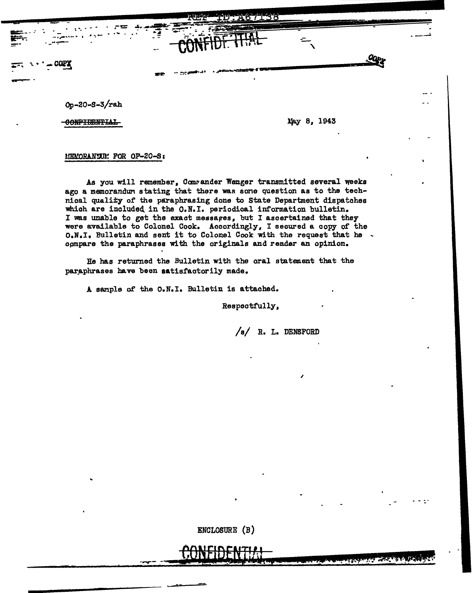67138

 $0p - 20 - S - 3/rah$ 

**COPY** 

CONFIDENTIAL

May 8, 1943

## MEMORANULLY FOR OP-20-S:

As you will remember, Comrander Wenger transmitted several weeks ago a memorandum stating that there was sone question as to the technical quality of the paraphrasing done to State Department dispatches which are included in the O.N.I. periodical information bulletin. I was unable to get the exact messages, but I ascertained that they were available to Colonel Cook. Accordingly, I secured a copy of the O.N.I. Bulletin and sent it to Colonel Cook with the request that he . compare the paraphrases with the originals and render an opinion.

He has returned the Bulletin with the oral statement that the paraphrases have been satisfactorily made.

A sample of the O.N.I. Bulletin is attached.

Respectfully,

 $/s/$  R. L. DENSFORD

لأمالي فالمتوارث والمخالفة والمتعاطية

ENCLOSURE (B)